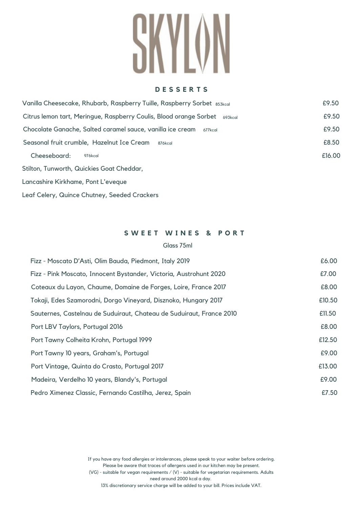**D E S S E R T S**

| Vanilla Cheesecake, Rhubarb, Raspberry Tuille, Raspberry Sorbet 853kcal       |        |  |  |  |  |  |
|-------------------------------------------------------------------------------|--------|--|--|--|--|--|
| Citrus lemon tart, Meringue, Raspberry Coulis, Blood orange Sorbet<br>693kcal |        |  |  |  |  |  |
| Chocolate Ganache, Salted caramel sauce, vanilla ice cream<br>677kcal         |        |  |  |  |  |  |
| Seasonal fruit crumble, Hazelnut Ice Cream<br>876kcal                         |        |  |  |  |  |  |
| Cheeseboard:<br>976kcal                                                       | £16.00 |  |  |  |  |  |
| Stilton, Tunworth, Quickies Goat Cheddar,                                     |        |  |  |  |  |  |
| Lancashire Kirkhame, Pont L'eveque                                            |        |  |  |  |  |  |

Leaf Celery, Quince Chutney, Seeded Crackers

## **S W E E T W I N E S & P O R T**

## Glass 75ml

| Fizz - Moscato D'Asti, Olim Bauda, Piedmont, Italy 2019              | £6.00  |
|----------------------------------------------------------------------|--------|
| Fizz - Pink Moscato, Innocent Bystander, Victoria, Austrohunt 2020   | £7.00  |
| Coteaux du Layon, Chaume, Domaine de Forges, Loire, France 2017      | £8.00  |
| Tokaji, Edes Szamorodni, Dorgo Vineyard, Disznoko, Hungary 2017      | £10.50 |
| Sauternes, Castelnau de Suduiraut, Chateau de Suduiraut, France 2010 | £11.50 |
| Port LBV Taylors, Portugal 2016                                      | £8.00  |
| Port Tawny Colheita Krohn, Portugal 1999                             | £12.50 |
| Port Tawny 10 years, Graham's, Portugal                              | £9.00  |
| Port Vintage, Quinta do Crasto, Portugal 2017                        | £13.00 |
| Madeira, Verdelho 10 years, Blandy's, Portugal                       | £9.00  |
| Pedro Ximenez Classic, Fernando Castilha, Jerez, Spain               | £7.50  |

If you have any food allergies or intolerances, please speak to your waiter before ordering. Please be aware that traces of allergens used in our kitchen may be present. (VG) - suitable for vegan requirements / (V) - suitable for vegetarian requirements. Adults need around 2000 kcal a day. 13% discretionary service charge will be added to your bill. Prices include VAT.